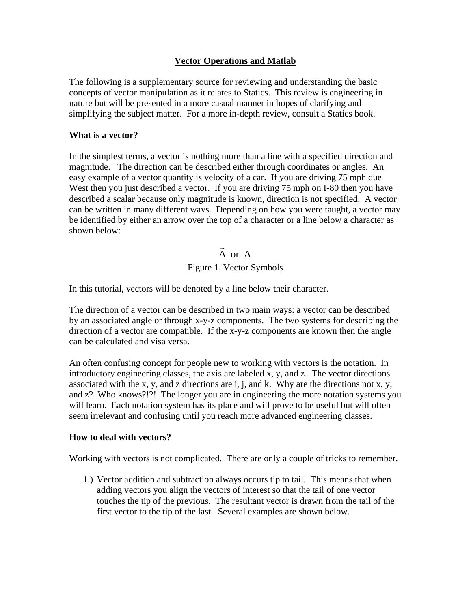## **Vector Operations and Matlab**

The following is a supplementary source for reviewing and understanding the basic concepts of vector manipulation as it relates to Statics. This review is engineering in nature but will be presented in a more casual manner in hopes of clarifying and simplifying the subject matter. For a more in-depth review, consult a Statics book.

### **What is a vector?**

In the simplest terms, a vector is nothing more than a line with a specified direction and magnitude. The direction can be described either through coordinates or angles. An easy example of a vector quantity is velocity of a car. If you are driving 75 mph due West then you just described a vector. If you are driving 75 mph on I-80 then you have described a scalar because only magnitude is known, direction is not specified. A vector can be written in many different ways. Depending on how you were taught, a vector may be identified by either an arrow over the top of a character or a line below a character as shown below:

# A or A Figure 1. Vector Symbols

In this tutorial, vectors will be denoted by a line below their character.

The direction of a vector can be described in two main ways: a vector can be described by an associated angle or through x-y-z components. The two systems for describing the direction of a vector are compatible. If the x-y-z components are known then the angle can be calculated and visa versa.

An often confusing concept for people new to working with vectors is the notation. In introductory engineering classes, the axis are labeled x, y, and z. The vector directions associated with the x, y, and z directions are i, j, and k. Why are the directions not x, y, and z? Who knows?!?! The longer you are in engineering the more notation systems you will learn. Each notation system has its place and will prove to be useful but will often seem irrelevant and confusing until you reach more advanced engineering classes.

### **How to deal with vectors?**

Working with vectors is not complicated. There are only a couple of tricks to remember.

1.) Vector addition and subtraction always occurs tip to tail. This means that when adding vectors you align the vectors of interest so that the tail of one vector touches the tip of the previous. The resultant vector is drawn from the tail of the first vector to the tip of the last. Several examples are shown below.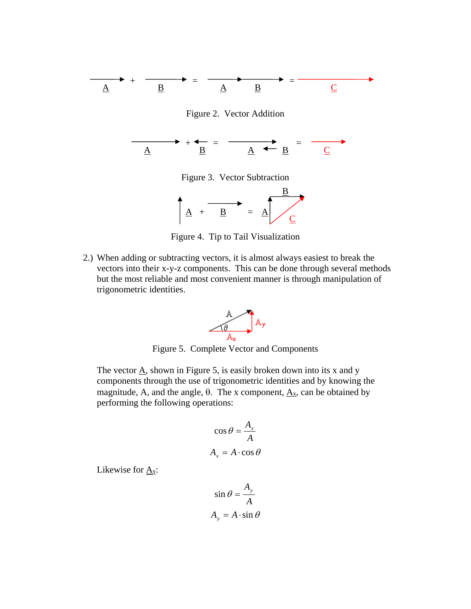



Figure 4. Tip to Tail Visualization

2.) When adding or subtracting vectors, it is almost always easiest to break the vectors into their x-y-z components. This can be done through several methods but the most reliable and most convenient manner is through manipulation of trigonometric identities.



Figure 5. Complete Vector and Components

The vector  $\underline{A}$ , shown in Figure 5, is easily broken down into its x and y components through the use of trigonometric identities and by knowing the magnitude, A, and the angle,  $\theta$ . The x component,  $\underline{A_x}$ , can be obtained by performing the following operations:

$$
\cos \theta = \frac{A_x}{A}
$$

$$
A_x = A \cdot \cos \theta
$$

Likewise for  $\underline{A_y}$ :

$$
\sin \theta = \frac{A_y}{A}
$$

$$
A_y = A \cdot \sin \theta
$$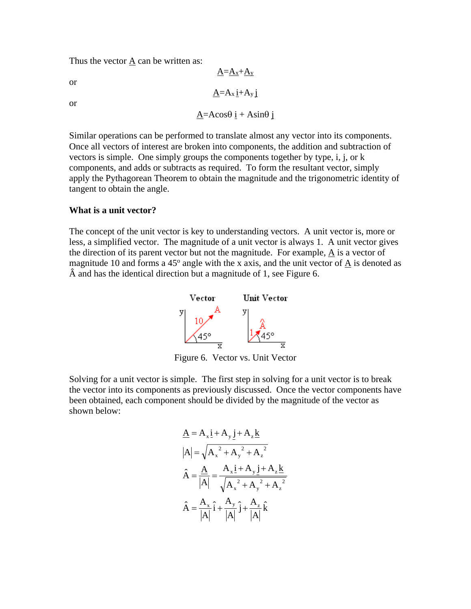Thus the vector  $\underline{A}$  can be written as:

or

or

$$
\underline{A} = A\cos\theta \, i + A\sin\theta \, j
$$

 $\underline{A}=\underline{A_x}+\underline{A_y}$ 

 $\underline{A} = A_x \underline{i} + A_y \underline{j}$ 

Similar operations can be performed to translate almost any vector into its components. Once all vectors of interest are broken into components, the addition and subtraction of vectors is simple. One simply groups the components together by type, i, j, or k components, and adds or subtracts as required. To form the resultant vector, simply apply the Pythagorean Theorem to obtain the magnitude and the trigonometric identity of tangent to obtain the angle.

#### **What is a unit vector?**

The concept of the unit vector is key to understanding vectors. A unit vector is, more or less, a simplified vector. The magnitude of a unit vector is always 1. A unit vector gives the direction of its parent vector but not the magnitude. For example, A is a vector of magnitude 10 and forms a 45<sup>o</sup> angle with the x axis, and the unit vector of  $\underline{A}$  is denoted as  $\hat{A}$  and has the identical direction but a magnitude of 1, see Figure 6.



Figure 6. Vector vs. Unit Vector

Solving for a unit vector is simple. The first step in solving for a unit vector is to break the vector into its components as previously discussed. Once the vector components have been obtained, each component should be divided by the magnitude of the vector as shown below:

$$
\begin{aligned}\n\underline{A} &= A_x \underline{i} + A_y \underline{j} + A_z \underline{k} \\
|A| &= \sqrt{A_x^2 + A_y^2 + A_z^2} \\
\hat{A} &= \frac{\underline{A}}{|A|} = \frac{A_x \underline{i} + A_y \underline{j} + A_z \underline{k}}{\sqrt{A_x^2 + A_y^2 + A_z^2}} \\
\hat{A} &= \frac{A_x}{|A|} \hat{i} + \frac{A_y}{|A|} \hat{j} + \frac{A_z}{|A|} \hat{k}\n\end{aligned}
$$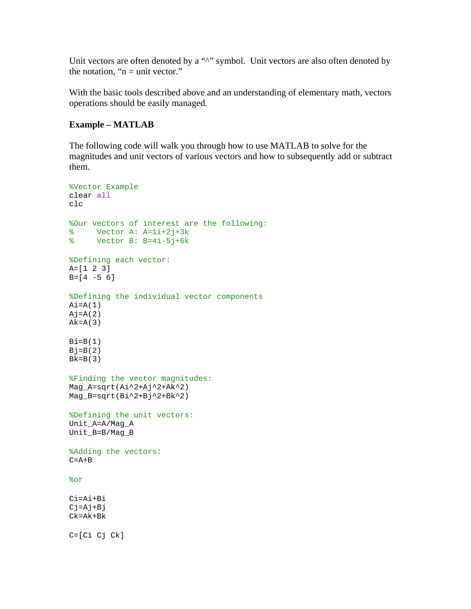Unit vectors are often denoted by a "^" symbol. Unit vectors are also often denoted by the notation, " $n =$  unit vector."

With the basic tools described above and an understanding of elementary math, vectors operations should be easily managed.

#### **Example – MATLAB**

The following code will walk you through how to use MATLAB to solve for the magnitudes and unit vectors of various vectors and how to subsequently add or subtract them.

```
%Vector Example
clear all
clc
%Our vectors of interest are the following:
% Vector A: A=1i+2j+3k<br>% Vector B: B=4i-5j+6k
     Vector B: B=4i-5j+6k
%Defining each vector:
A=[1 2 3]
B=[4 -5 6]%Defining the individual vector components
Ai=A(1)Aj=A(2)Ak=A(3)Bi=B(1)Bj=B(2)Bk=B(3)%Finding the vector magnitudes:
Mag_A=sqrt(Ai^2+Aj^2+Ak^2)
Mag_B=sqrt(Bi^2+Bj^2+Bk^2)
%Defining the unit vectors:
Unit_A=A/Mag_A
Unit_B=B/Mag_B
%Adding the vectors:
C = A + B%or
Ci=Ai+Bi
Cj=Aj+BjCk=Ak+Bk
C=[Ci Cj Ck]
```